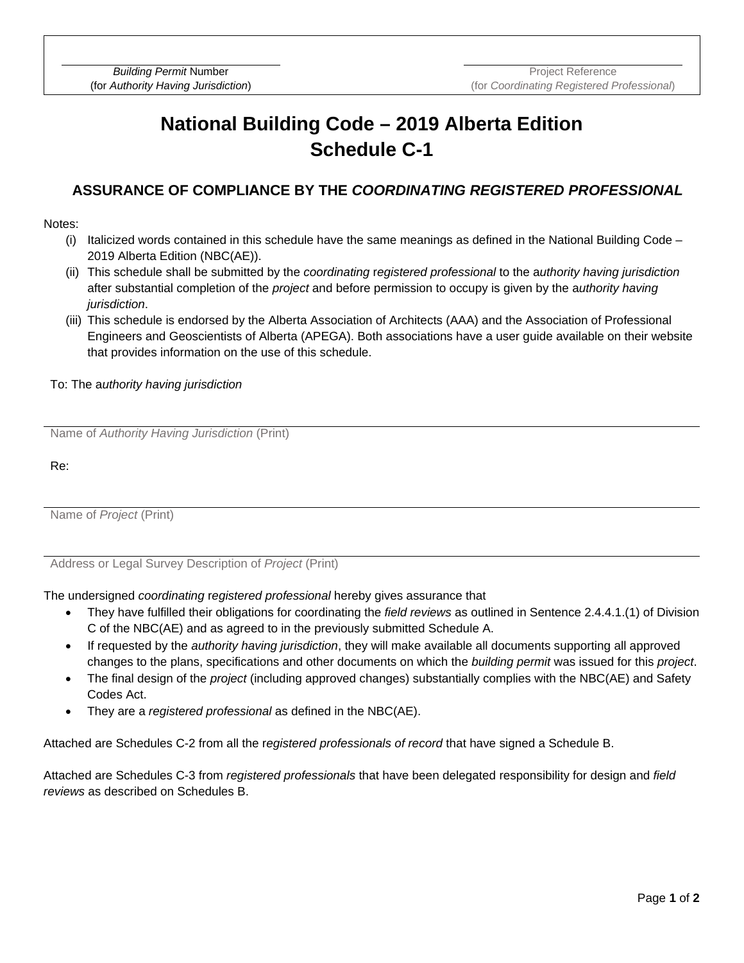# **National Building Code – 2019 Alberta Edition Schedule C-1**

### **ASSURANCE OF COMPLIANCE BY THE** *COORDINATING REGISTERED PROFESSIONAL*

#### Notes:

- (i) Italicized words contained in this schedule have the same meanings as defined in the National Building Code 2019 Alberta Edition (NBC(AE)).
- (ii) This schedule shall be submitted by the *coordinating* r*egistered professional* to the a*uthority having jurisdiction* after substantial completion of the *project* and before permission to occupy is given by the a*uthority having jurisdiction*.
- (iii) This schedule is endorsed by the Alberta Association of Architects (AAA) and the Association of Professional Engineers and Geoscientists of Alberta (APEGA). Both associations have a user guide available on their website that provides information on the use of this schedule.

#### To: The a*uthority having jurisdiction*

Name of *Authority Having Jurisdiction* (Print)

Re:

Name of *Project* (Print)

Address or Legal Survey Description of *Project* (Print)

The undersigned *coordinating* r*egistered professional* hereby gives assurance that

- They have fulfilled their obligations for coordinating the *field reviews* as outlined in Sentence 2.4.4.1.(1) of Division C of the NBC(AE) and as agreed to in the previously submitted Schedule A.
- If requested by the *authority having jurisdiction*, they will make available all documents supporting all approved changes to the plans, specifications and other documents on which the *building permit* was issued for this *project*.
- The final design of the *project* (including approved changes) substantially complies with the NBC(AE) and Safety Codes Act.
- They are a *registered professional* as defined in the NBC(AE).

Attached are Schedules C-2 from all the r*egistered professionals of record* that have signed a Schedule B.

Attached are Schedules C-3 from *registered professionals* that have been delegated responsibility for design and *field reviews* as described on Schedules B.